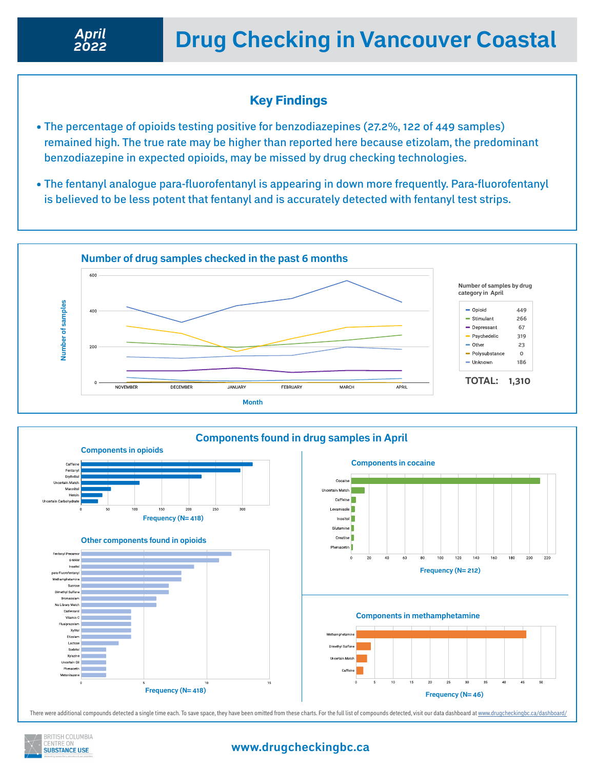## Key Findings

- The percentage of opioids testing positive for benzodiazepines (27.2%, 122 of 449 samples) remained high. The true rate may be higher than reported here because etizolam, the predominant benzodiazepine in expected opioids, may be missed by drug checking technologies.
- The fentanyl analogue para-fluorofentanyl is appearing in down more frequently. Para-fluorofentanyl is believed to be less potent that fentanyl and is accurately detected with fentanyl test strips.





There were additional compounds detected a single time each. To save space, they have been omitted from these charts. For the full list of compounds detected, visit our data dashboard at<www.drugcheckingbc.ca/dashboard/>



### **www.drugcheckingbc.ca**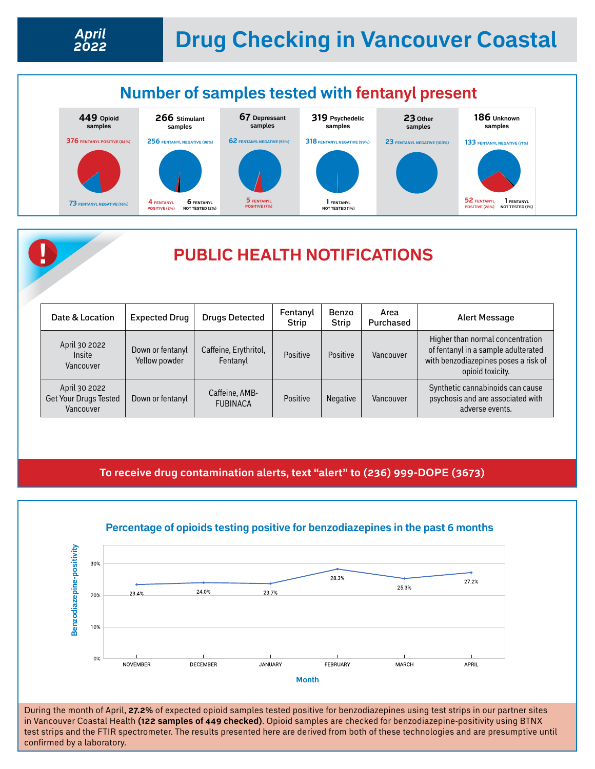## **Number of samples tested with fentanyl present**





#### **To receive drug contamination alerts, text "alert" to (236) 999-DOPE (3673)**



#### **Percentage of opioids testing positive for benzodiazepines in the past 6 months**

During the month of April, **27.2%** of expected opioid samples tested positive for benzodiazepines using test strips in our partner sites in Vancouver Coastal Health **(122 samples of 449 checked)**. Opioid samples are checked for benzodiazepine-positivity using BTNX test strips and the FTIR spectrometer. The results presented here are derived from both of these technologies and are presumptive until confirmed by a laboratory.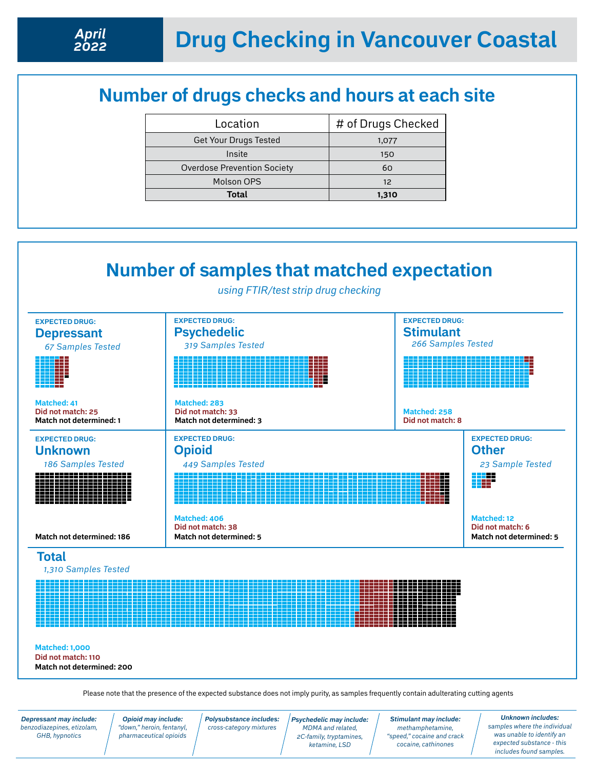# **Number of drugs checks and hours at each site**

| Location                           | # of Drugs Checked |
|------------------------------------|--------------------|
| <b>Get Your Drugs Tested</b>       | 1,077              |
| Insite                             | 150                |
| <b>Overdose Prevention Society</b> | 60                 |
| Molson OPS                         | $12^{12}$          |
| Total                              | 1,310              |



*Depressant may include: benzodiazepines, etizolam, GHB, hypnotics*

*Polysubstance includes: cross-category mixtures*

*Psychedelic may include: MDMA and related, 2C-family, tryptamines, ketamine, LSD* 

*Stimulant may include: methamphetamine, "speed," cocaine and crack cocaine, cathinones*

*Unknown includes: samples where the individual was unable to identify an expected substance - this includes found samples.*